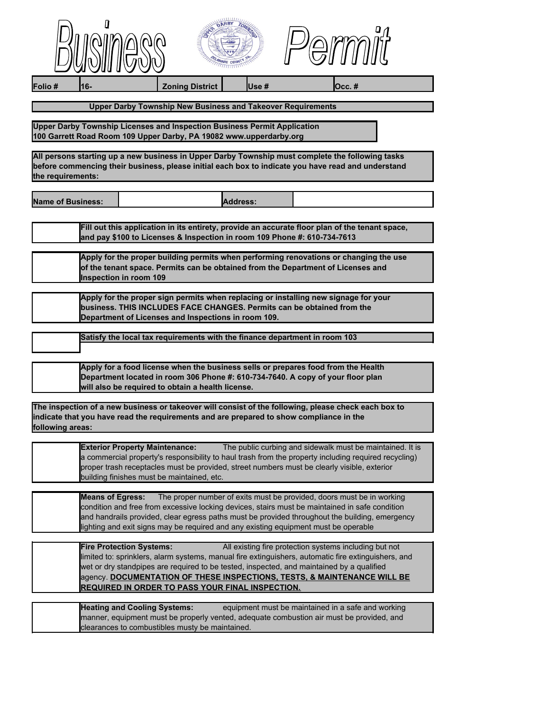| $\mathcal{O}(\mathbb{N}) \backslash \mathbb{N}$<br>m<br>r.<br>ப<br>$\mathbf{U} \mathbf{U}$ | <b>CON</b><br>$\overline{\phantom{a}}$<br>$\overline{a}$<br>$-$<br>$\overline{\phantom{a}}$ |  |
|--------------------------------------------------------------------------------------------|---------------------------------------------------------------------------------------------|--|
|                                                                                            |                                                                                             |  |



**Folio # 16- Zoning District Use # Occ. #**

## **Upper Darby Township New Business and Takeover Requirements**

**Upper Darby Township Licenses and Inspection Business Permit Application 100 Garrett Road Room 109 Upper Darby, PA 19082 www.upperdarby.org**

**All persons starting up a new business in Upper Darby Township must complete the following tasks before commencing their business, please initial each box to indicate you have read and understand the requirements:**

**Name of Business: Address: Address:** 

**Fill out this application in its entirety, provide an accurate floor plan of the tenant space, and pay \$100 to Licenses & Inspection in room 109 Phone #: 610-734-7613**

**Apply for the proper building permits when performing renovations or changing the use of the tenant space. Permits can be obtained from the Department of Licenses and Inspection in room 109**

**Apply for the proper sign permits when replacing or installing new signage for your business. THIS INCLUDES FACE CHANGES. Permits can be obtained from the Department of Licenses and Inspections in room 109.**

| Satisfy the local tax requirements with the finance department in room 103 |
|----------------------------------------------------------------------------|
|                                                                            |

**Apply for a food license when the business sells or prepares food from the Health Department located in room 306 Phone #: 610-734-7640. A copy of your floor plan will also be required to obtain a health license.**

**The inspection of a new business or takeover will consist of the following, please check each box to indicate that you have read the requirements and are prepared to show compliance in the following areas:**

**Exterior Property Maintenance:** The public curbing and sidewalk must be maintained. It is a commercial property's responsibility to haul trash from the property including required recycling) proper trash receptacles must be provided, street numbers must be clearly visible, exterior building finishes must be maintained, etc.

**Means of Egress:** The proper number of exits must be provided, doors must be in working condition and free from excessive locking devices, stairs must be maintained in safe condition and handrails provided, clear egress paths must be provided throughout the building, emergency lighting and exit signs may be required and any existing equipment must be operable

| <b>Fire Protection Systems:</b>                         | All existing fire protection systems including but not                                              |
|---------------------------------------------------------|-----------------------------------------------------------------------------------------------------|
|                                                         | limited to: sprinklers, alarm systems, manual fire extinguishers, automatic fire extinguishers, and |
|                                                         | wet or dry standpipes are required to be tested, inspected, and maintained by a qualified           |
|                                                         | agency. DOCUMENTATION OF THESE INSPECTIONS, TESTS, & MAINTENANCE WILL BE                            |
| <b>REQUIRED IN ORDER TO PASS YOUR FINAL INSPECTION.</b> |                                                                                                     |

| <b>Heating and Cooling Systems:</b>             | equipment must be maintained in a safe and working                                       |
|-------------------------------------------------|------------------------------------------------------------------------------------------|
|                                                 | manner, equipment must be properly vented, adequate combustion air must be provided, and |
| clearances to combustibles musty be maintained. |                                                                                          |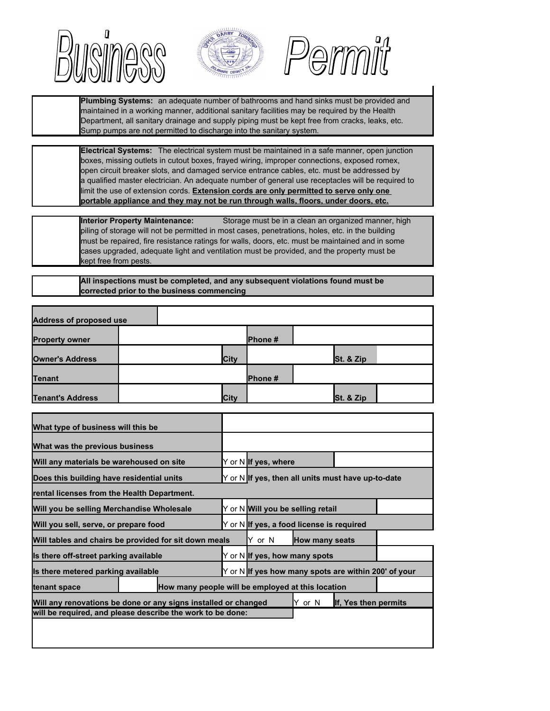





**Plumbing Systems:** an adequate number of bathrooms and hand sinks must be provided and maintained in a working manner, additional sanitary facilities may be required by the Health Department, all sanitary drainage and supply piping must be kept free from cracks, leaks, etc. Sump pumps are not permitted to discharge into the sanitary system.

**Electrical Systems:** The electrical system must be maintained in a safe manner, open junction boxes, missing outlets in cutout boxes, frayed wiring, improper connections, exposed romex, open circuit breaker slots, and damaged service entrance cables, etc. must be addressed by a qualified master electrician. An adequate number of general use receptacles will be required to **portable appliance and they may not be run through walls, floors, under doors, etc.** limit the use of extension cords. **Extension cords are only permitted to serve only one**

**Interior Property Maintenance:** Storage must be in a clean an organized manner, high piling of storage will not be permitted in most cases, penetrations, holes, etc. in the building must be repaired, fire resistance ratings for walls, doors, etc. must be maintained and in some cases upgraded, adequate light and ventilation must be provided, and the property must be kept free from pests.

**All inspections must be completed, and any subsequent violations found must be corrected prior to the business commencing**

| <b>Address of proposed use</b>                                    |  |  |      |                                                      |                       |                      |  |
|-------------------------------------------------------------------|--|--|------|------------------------------------------------------|-----------------------|----------------------|--|
| <b>Property owner</b>                                             |  |  |      | Phone#                                               |                       |                      |  |
| <b>Owner's Address</b>                                            |  |  | City |                                                      |                       | St. & Zip            |  |
| <b>Tenant</b>                                                     |  |  |      | Phone #                                              |                       |                      |  |
| <b>Tenant's Address</b>                                           |  |  | City |                                                      |                       | St. & Zip            |  |
| What type of business will this be                                |  |  |      |                                                      |                       |                      |  |
| What was the previous business                                    |  |  |      |                                                      |                       |                      |  |
| Will any materials be warehoused on site                          |  |  |      | Y or N If yes, where                                 |                       |                      |  |
| Does this building have residential units                         |  |  |      | Y or N If yes, then all units must have up-to-date   |                       |                      |  |
| rental licenses from the Health Department.                       |  |  |      |                                                      |                       |                      |  |
| Will you be selling Merchandise Wholesale                         |  |  |      | Y or N Will you be selling retail                    |                       |                      |  |
| Will you sell, serve, or prepare food                             |  |  |      | Y or N If yes, a food license is required            |                       |                      |  |
| Will tables and chairs be provided for sit down meals             |  |  |      | Y or N                                               | <b>How many seats</b> |                      |  |
| Is there off-street parking available                             |  |  |      | Y or N If yes, how many spots                        |                       |                      |  |
| Is there metered parking available                                |  |  |      | Y or N If yes how many spots are within 200' of your |                       |                      |  |
| How many people will be employed at this location<br>tenant space |  |  |      |                                                      |                       |                      |  |
| Will any renovations be done or any signs installed or changed    |  |  |      |                                                      | Y or N                | If, Yes then permits |  |
| will be required, and please describe the work to be done:        |  |  |      |                                                      |                       |                      |  |
|                                                                   |  |  |      |                                                      |                       |                      |  |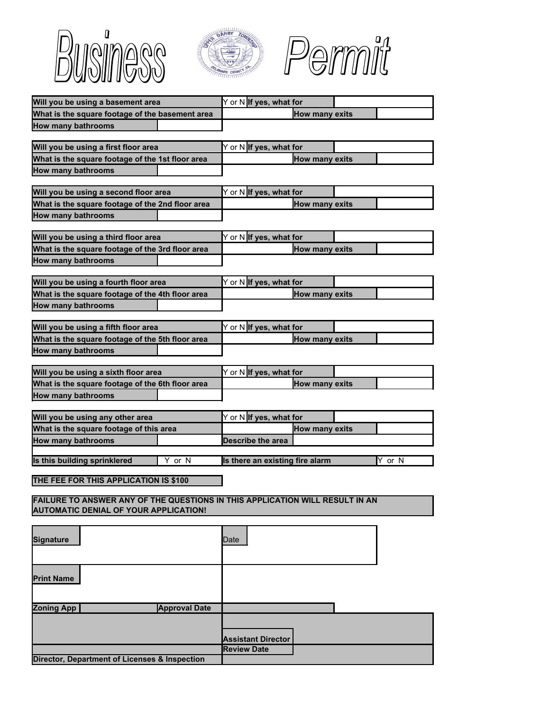





| Will you be using a basement area                                            | Y or N If yes, what for                         |
|------------------------------------------------------------------------------|-------------------------------------------------|
| What is the square footage of the basement area                              | <b>How many exits</b>                           |
| <b>How many bathrooms</b>                                                    |                                                 |
|                                                                              |                                                 |
| Will you be using a first floor area                                         | Y or N If yes, what for                         |
| What is the square footage of the 1st floor area                             | <b>How many exits</b>                           |
| <b>How many bathrooms</b>                                                    |                                                 |
|                                                                              |                                                 |
| Will you be using a second floor area                                        | Y or N If yes, what for                         |
| What is the square footage of the 2nd floor area                             | <b>How many exits</b>                           |
| <b>How many bathrooms</b>                                                    |                                                 |
|                                                                              |                                                 |
| Will you be using a third floor area                                         | Y or N If yes, what for                         |
| What is the square footage of the 3rd floor area                             | <b>How many exits</b>                           |
| <b>How many bathrooms</b>                                                    |                                                 |
|                                                                              |                                                 |
| Will you be using a fourth floor area                                        | Y or N If yes, what for                         |
| What is the square footage of the 4th floor area                             | <b>How many exits</b>                           |
| <b>How many bathrooms</b>                                                    |                                                 |
|                                                                              |                                                 |
| Will you be using a fifth floor area                                         | Y or N If yes, what for                         |
| What is the square footage of the 5th floor area                             | <b>How many exits</b>                           |
| <b>How many bathrooms</b>                                                    |                                                 |
|                                                                              |                                                 |
| Will you be using a sixth floor area                                         | Y or N If yes, what for                         |
| What is the square footage of the 6th floor area                             | <b>How many exits</b>                           |
| <b>How many bathrooms</b>                                                    |                                                 |
|                                                                              |                                                 |
| Will you be using any other area                                             | Y or N If yes, what for                         |
| What is the square footage of this area                                      | <b>How many exits</b>                           |
| <b>How many bathrooms</b>                                                    | <b>Describe the area</b>                        |
|                                                                              |                                                 |
| Is this building sprinklered<br>Y or N                                       | Is there an existing fire alarm<br>Y or N       |
| THE FEE FOR THIS APPLICATION IS \$100                                        |                                                 |
|                                                                              |                                                 |
| FAILURE TO ANSWER ANY OF THE QUESTIONS IN THIS APPLICATION WILL RESULT IN AN |                                                 |
| <b>AUTOMATIC DENIAL OF YOUR APPLICATION!</b>                                 |                                                 |
|                                                                              |                                                 |
|                                                                              |                                                 |
| Signature                                                                    | Date                                            |
|                                                                              |                                                 |
|                                                                              |                                                 |
| <b>Print Name</b>                                                            |                                                 |
|                                                                              |                                                 |
|                                                                              |                                                 |
| <b>Zoning App</b><br><b>Approval Date</b>                                    |                                                 |
|                                                                              |                                                 |
|                                                                              |                                                 |
|                                                                              |                                                 |
|                                                                              | <b>Assistant Director</b><br><b>Review Date</b> |